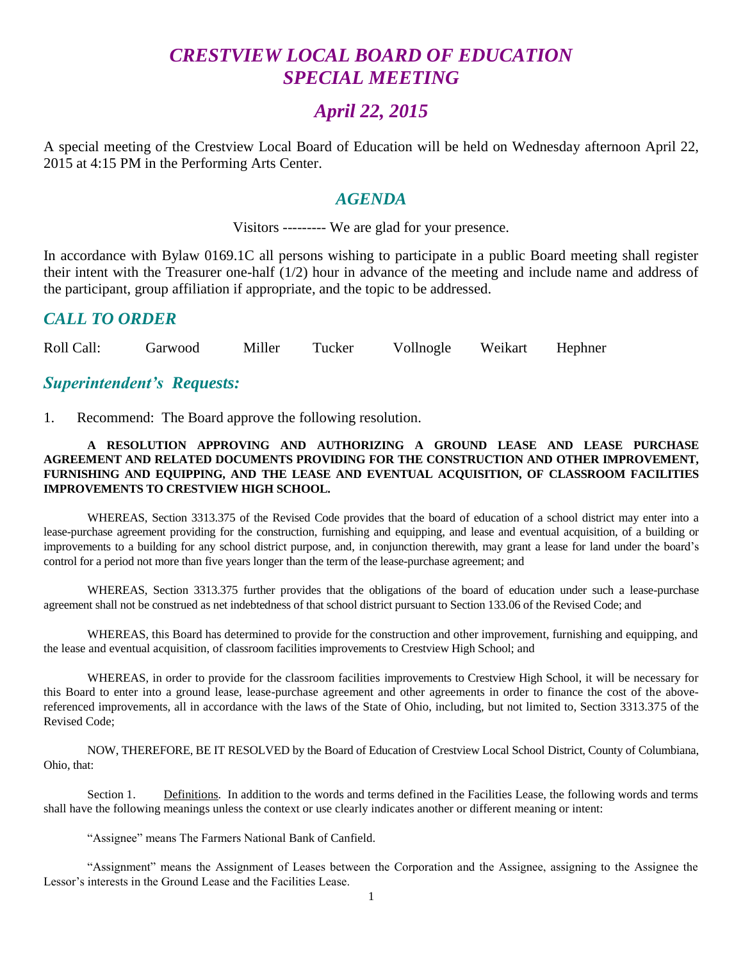# *CRESTVIEW LOCAL BOARD OF EDUCATION SPECIAL MEETING*

## *April 22, 2015*

A special meeting of the Crestview Local Board of Education will be held on Wednesday afternoon April 22, 2015 at 4:15 PM in the Performing Arts Center.

#### *AGENDA*

Visitors --------- We are glad for your presence.

In accordance with Bylaw 0169.1C all persons wishing to participate in a public Board meeting shall register their intent with the Treasurer one-half (1/2) hour in advance of the meeting and include name and address of the participant, group affiliation if appropriate, and the topic to be addressed.

#### *CALL TO ORDER*

Roll Call: Garwood Miller Tucker Vollnogle Weikart Hephner

#### *Superintendent's Requests:*

1. Recommend: The Board approve the following resolution.

#### **A RESOLUTION APPROVING AND AUTHORIZING A GROUND LEASE AND LEASE PURCHASE AGREEMENT AND RELATED DOCUMENTS PROVIDING FOR THE CONSTRUCTION AND OTHER IMPROVEMENT, FURNISHING AND EQUIPPING, AND THE LEASE AND EVENTUAL ACQUISITION, OF CLASSROOM FACILITIES IMPROVEMENTS TO CRESTVIEW HIGH SCHOOL.**

WHEREAS, Section 3313.375 of the Revised Code provides that the board of education of a school district may enter into a lease-purchase agreement providing for the construction, furnishing and equipping, and lease and eventual acquisition, of a building or improvements to a building for any school district purpose, and, in conjunction therewith, may grant a lease for land under the board's control for a period not more than five years longer than the term of the lease-purchase agreement; and

WHEREAS, Section 3313.375 further provides that the obligations of the board of education under such a lease-purchase agreement shall not be construed as net indebtedness of that school district pursuant to Section 133.06 of the Revised Code; and

WHEREAS, this Board has determined to provide for the construction and other improvement, furnishing and equipping, and the lease and eventual acquisition, of classroom facilities improvements to Crestview High School; and

WHEREAS, in order to provide for the classroom facilities improvements to Crestview High School, it will be necessary for this Board to enter into a ground lease, lease-purchase agreement and other agreements in order to finance the cost of the abovereferenced improvements, all in accordance with the laws of the State of Ohio, including, but not limited to, Section 3313.375 of the Revised Code;

NOW, THEREFORE, BE IT RESOLVED by the Board of Education of Crestview Local School District, County of Columbiana, Ohio, that:

Section 1. Definitions. In addition to the words and terms defined in the Facilities Lease, the following words and terms shall have the following meanings unless the context or use clearly indicates another or different meaning or intent:

"Assignee" means The Farmers National Bank of Canfield.

"Assignment" means the Assignment of Leases between the Corporation and the Assignee, assigning to the Assignee the Lessor's interests in the Ground Lease and the Facilities Lease.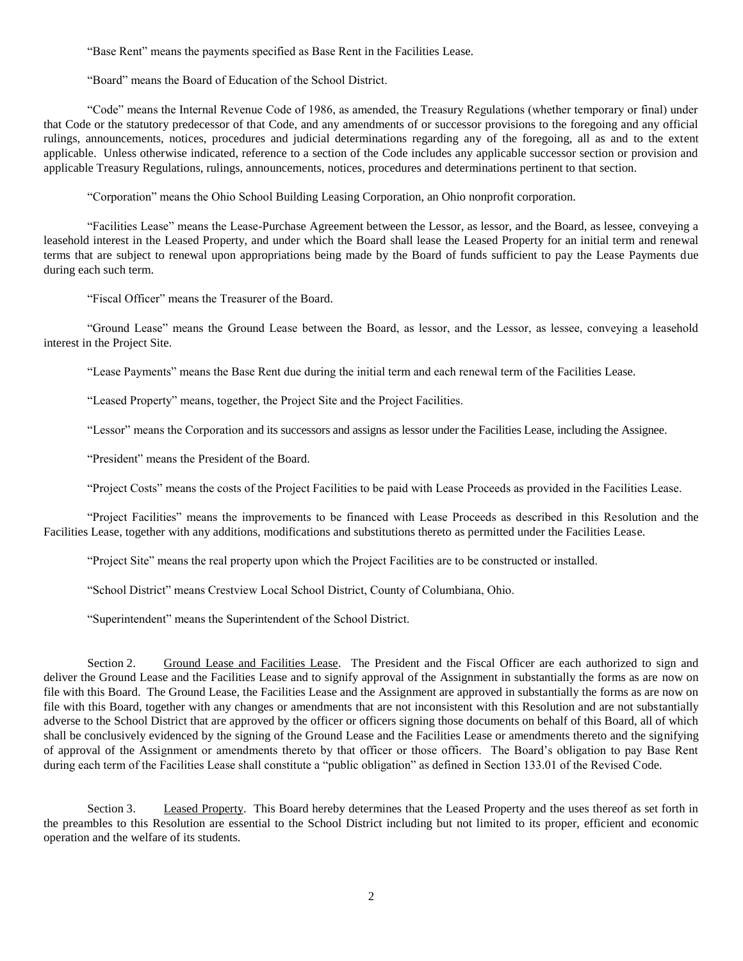"Base Rent" means the payments specified as Base Rent in the Facilities Lease.

"Board" means the Board of Education of the School District.

"Code" means the Internal Revenue Code of 1986, as amended, the Treasury Regulations (whether temporary or final) under that Code or the statutory predecessor of that Code, and any amendments of or successor provisions to the foregoing and any official rulings, announcements, notices, procedures and judicial determinations regarding any of the foregoing, all as and to the extent applicable. Unless otherwise indicated, reference to a section of the Code includes any applicable successor section or provision and applicable Treasury Regulations, rulings, announcements, notices, procedures and determinations pertinent to that section.

"Corporation" means the Ohio School Building Leasing Corporation, an Ohio nonprofit corporation.

"Facilities Lease" means the Lease-Purchase Agreement between the Lessor, as lessor, and the Board, as lessee, conveying a leasehold interest in the Leased Property, and under which the Board shall lease the Leased Property for an initial term and renewal terms that are subject to renewal upon appropriations being made by the Board of funds sufficient to pay the Lease Payments due during each such term.

"Fiscal Officer" means the Treasurer of the Board.

"Ground Lease" means the Ground Lease between the Board, as lessor, and the Lessor, as lessee, conveying a leasehold interest in the Project Site.

"Lease Payments" means the Base Rent due during the initial term and each renewal term of the Facilities Lease.

"Leased Property" means, together, the Project Site and the Project Facilities.

"Lessor" means the Corporation and its successors and assigns as lessor under the Facilities Lease, including the Assignee.

"President" means the President of the Board.

"Project Costs" means the costs of the Project Facilities to be paid with Lease Proceeds as provided in the Facilities Lease.

"Project Facilities" means the improvements to be financed with Lease Proceeds as described in this Resolution and the Facilities Lease, together with any additions, modifications and substitutions thereto as permitted under the Facilities Lease.

"Project Site" means the real property upon which the Project Facilities are to be constructed or installed.

"School District" means Crestview Local School District, County of Columbiana, Ohio.

"Superintendent" means the Superintendent of the School District.

Section 2. Ground Lease and Facilities Lease. The President and the Fiscal Officer are each authorized to sign and deliver the Ground Lease and the Facilities Lease and to signify approval of the Assignment in substantially the forms as are now on file with this Board. The Ground Lease, the Facilities Lease and the Assignment are approved in substantially the forms as are now on file with this Board, together with any changes or amendments that are not inconsistent with this Resolution and are not substantially adverse to the School District that are approved by the officer or officers signing those documents on behalf of this Board, all of which shall be conclusively evidenced by the signing of the Ground Lease and the Facilities Lease or amendments thereto and the signifying of approval of the Assignment or amendments thereto by that officer or those officers. The Board's obligation to pay Base Rent during each term of the Facilities Lease shall constitute a "public obligation" as defined in Section 133.01 of the Revised Code.

Section 3. Leased Property. This Board hereby determines that the Leased Property and the uses thereof as set forth in the preambles to this Resolution are essential to the School District including but not limited to its proper, efficient and economic operation and the welfare of its students.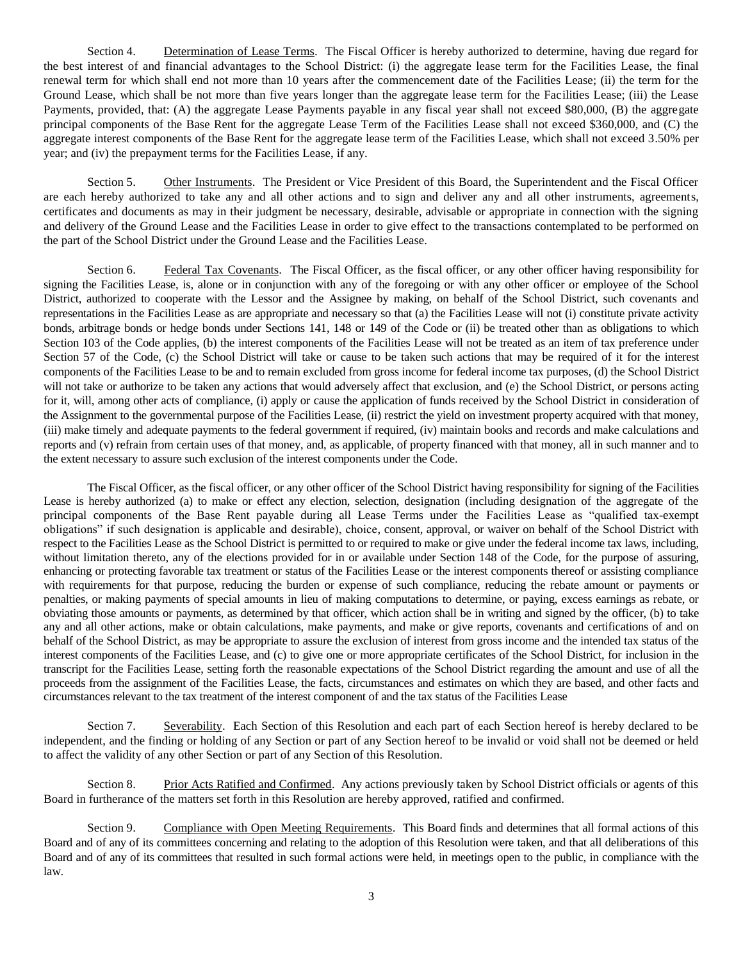Section 4. Determination of Lease Terms. The Fiscal Officer is hereby authorized to determine, having due regard for the best interest of and financial advantages to the School District: (i) the aggregate lease term for the Facilities Lease, the final renewal term for which shall end not more than 10 years after the commencement date of the Facilities Lease; (ii) the term for the Ground Lease, which shall be not more than five years longer than the aggregate lease term for the Facilities Lease; (iii) the Lease Payments, provided, that: (A) the aggregate Lease Payments payable in any fiscal year shall not exceed \$80,000, (B) the aggregate principal components of the Base Rent for the aggregate Lease Term of the Facilities Lease shall not exceed \$360,000, and (C) the aggregate interest components of the Base Rent for the aggregate lease term of the Facilities Lease, which shall not exceed 3.50% per year; and (iv) the prepayment terms for the Facilities Lease, if any.

Section 5. Other Instruments. The President or Vice President of this Board, the Superintendent and the Fiscal Officer are each hereby authorized to take any and all other actions and to sign and deliver any and all other instruments, agreements, certificates and documents as may in their judgment be necessary, desirable, advisable or appropriate in connection with the signing and delivery of the Ground Lease and the Facilities Lease in order to give effect to the transactions contemplated to be performed on the part of the School District under the Ground Lease and the Facilities Lease.

Section 6. Federal Tax Covenants. The Fiscal Officer, as the fiscal officer, or any other officer having responsibility for signing the Facilities Lease, is, alone or in conjunction with any of the foregoing or with any other officer or employee of the School District, authorized to cooperate with the Lessor and the Assignee by making, on behalf of the School District, such covenants and representations in the Facilities Lease as are appropriate and necessary so that (a) the Facilities Lease will not (i) constitute private activity bonds, arbitrage bonds or hedge bonds under Sections 141, 148 or 149 of the Code or (ii) be treated other than as obligations to which Section 103 of the Code applies, (b) the interest components of the Facilities Lease will not be treated as an item of tax preference under Section 57 of the Code, (c) the School District will take or cause to be taken such actions that may be required of it for the interest components of the Facilities Lease to be and to remain excluded from gross income for federal income tax purposes, (d) the School District will not take or authorize to be taken any actions that would adversely affect that exclusion, and (e) the School District, or persons acting for it, will, among other acts of compliance, (i) apply or cause the application of funds received by the School District in consideration of the Assignment to the governmental purpose of the Facilities Lease, (ii) restrict the yield on investment property acquired with that money, (iii) make timely and adequate payments to the federal government if required, (iv) maintain books and records and make calculations and reports and (v) refrain from certain uses of that money, and, as applicable, of property financed with that money, all in such manner and to the extent necessary to assure such exclusion of the interest components under the Code.

The Fiscal Officer, as the fiscal officer, or any other officer of the School District having responsibility for signing of the Facilities Lease is hereby authorized (a) to make or effect any election, selection, designation (including designation of the aggregate of the principal components of the Base Rent payable during all Lease Terms under the Facilities Lease as "qualified tax-exempt obligations" if such designation is applicable and desirable), choice, consent, approval, or waiver on behalf of the School District with respect to the Facilities Lease as the School District is permitted to or required to make or give under the federal income tax laws, including, without limitation thereto, any of the elections provided for in or available under Section 148 of the Code, for the purpose of assuring, enhancing or protecting favorable tax treatment or status of the Facilities Lease or the interest components thereof or assisting compliance with requirements for that purpose, reducing the burden or expense of such compliance, reducing the rebate amount or payments or penalties, or making payments of special amounts in lieu of making computations to determine, or paying, excess earnings as rebate, or obviating those amounts or payments, as determined by that officer, which action shall be in writing and signed by the officer, (b) to take any and all other actions, make or obtain calculations, make payments, and make or give reports, covenants and certifications of and on behalf of the School District, as may be appropriate to assure the exclusion of interest from gross income and the intended tax status of the interest components of the Facilities Lease, and (c) to give one or more appropriate certificates of the School District, for inclusion in the transcript for the Facilities Lease, setting forth the reasonable expectations of the School District regarding the amount and use of all the proceeds from the assignment of the Facilities Lease, the facts, circumstances and estimates on which they are based, and other facts and circumstances relevant to the tax treatment of the interest component of and the tax status of the Facilities Lease

Section 7. Severability. Each Section of this Resolution and each part of each Section hereof is hereby declared to be independent, and the finding or holding of any Section or part of any Section hereof to be invalid or void shall not be deemed or held to affect the validity of any other Section or part of any Section of this Resolution.

Section 8. Prior Acts Ratified and Confirmed. Any actions previously taken by School District officials or agents of this Board in furtherance of the matters set forth in this Resolution are hereby approved, ratified and confirmed.

Section 9. Compliance with Open Meeting Requirements. This Board finds and determines that all formal actions of this Board and of any of its committees concerning and relating to the adoption of this Resolution were taken, and that all deliberations of this Board and of any of its committees that resulted in such formal actions were held, in meetings open to the public, in compliance with the law.